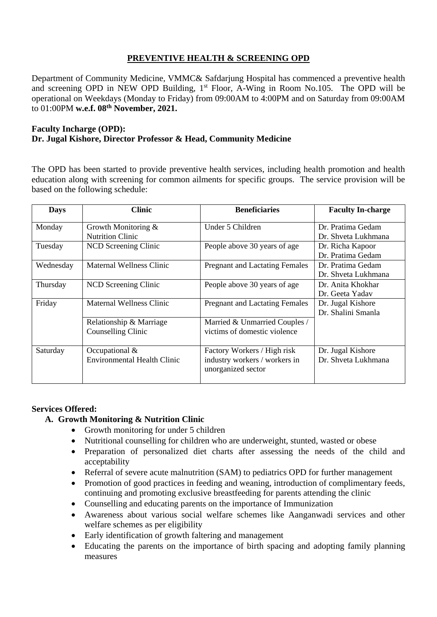# **PREVENTIVE HEALTH & SCREENING OPD**

Department of Community Medicine, VMMC& Safdarjung Hospital has commenced a preventive health and screening OPD in NEW OPD Building, 1<sup>st</sup> Floor, A-Wing in Room No.105. The OPD will be operational on Weekdays (Monday to Friday) from 09:00AM to 4:00PM and on Saturday from 09:00AM to 01:00PM **w.e.f. 08th November, 2021.**

## **Faculty Incharge (OPD): Dr. Jugal Kishore, Director Professor & Head, Community Medicine**

The OPD has been started to provide preventive health services, including health promotion and health education along with screening for common ailments for specific groups. The service provision will be based on the following schedule:

| <b>Days</b> | <b>Clinic</b>                                        | <b>Beneficiaries</b>                                                               | <b>Faculty In-charge</b>                 |
|-------------|------------------------------------------------------|------------------------------------------------------------------------------------|------------------------------------------|
| Monday      | Growth Monitoring $&$<br><b>Nutrition Clinic</b>     | Under 5 Children                                                                   | Dr. Pratima Gedam<br>Dr. Shveta Lukhmana |
| Tuesday     | NCD Screening Clinic                                 | People above 30 years of age                                                       | Dr. Richa Kapoor<br>Dr. Pratima Gedam    |
| Wednesday   | Maternal Wellness Clinic                             | <b>Pregnant and Lactating Females</b>                                              | Dr. Pratima Gedam<br>Dr. Shveta Lukhmana |
| Thursday    | NCD Screening Clinic                                 | People above 30 years of age                                                       | Dr. Anita Khokhar<br>Dr. Geeta Yadav     |
| Friday      | <b>Maternal Wellness Clinic</b>                      | <b>Pregnant and Lactating Females</b>                                              | Dr. Jugal Kishore<br>Dr. Shalini Smanla  |
|             | Relationship & Marriage<br>Counselling Clinic        | Married & Unmarried Couples /<br>victims of domestic violence                      |                                          |
| Saturday    | Occupational &<br><b>Environmental Health Clinic</b> | Factory Workers / High risk<br>industry workers / workers in<br>unorganized sector | Dr. Jugal Kishore<br>Dr. Shveta Lukhmana |

## **Services Offered:**

# **A. Growth Monitoring & Nutrition Clinic**

- Growth monitoring for under 5 children
- Nutritional counselling for children who are underweight, stunted, wasted or obese
- Preparation of personalized diet charts after assessing the needs of the child and acceptability
- Referral of severe acute malnutrition (SAM) to pediatrics OPD for further management
- Promotion of good practices in feeding and weaning, introduction of complimentary feeds, continuing and promoting exclusive breastfeeding for parents attending the clinic
- Counselling and educating parents on the importance of Immunization
- Awareness about various social welfare schemes like Aanganwadi services and other welfare schemes as per eligibility
- Early identification of growth faltering and management
- Educating the parents on the importance of birth spacing and adopting family planning measures